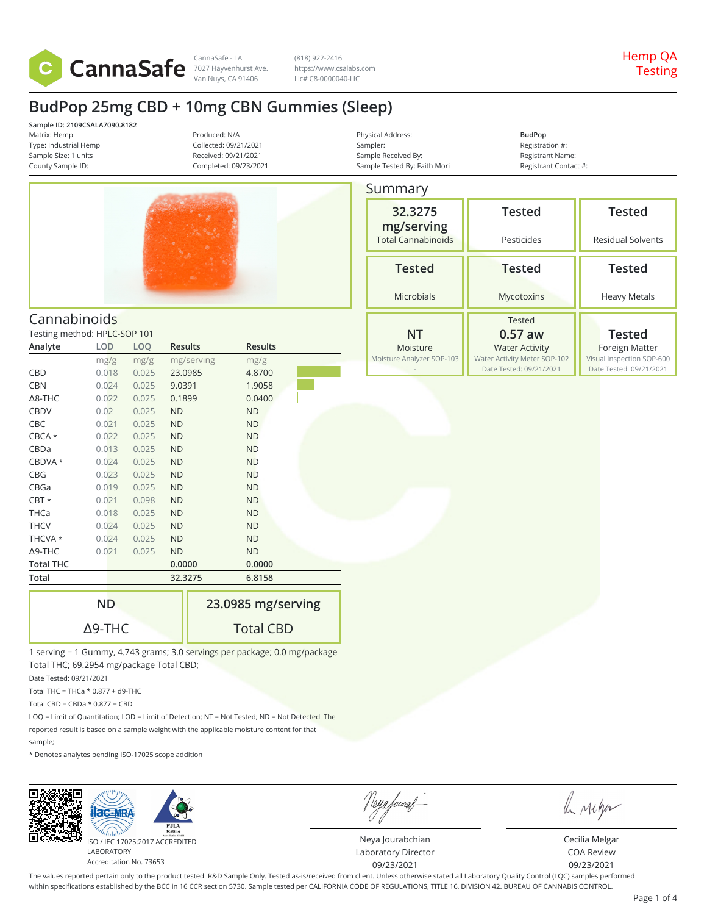

(818) 922-2416 https://www.csalabs.com Lic# C8-0000040-LIC

Physical Address: Sampler: Sample Received By:

## **BudPop 25mg CBD + 10mg CBN Gummies (Sleep)**

**Sample ID: 2109CSALA7090.8182** Matrix: Hemp Type: Industrial Hemp Sample Size: 1 units County Sample ID:

Produced: N/A Collected: 09/21/2021 Received: 09/21/2021 Completed: 09/23/2021



#### Cannabinoids

Testing method: HPLC-SOP 101

| Analyte          | <b>LOD</b> | LOQ   | <b>Results</b> | <b>Results</b> |  |
|------------------|------------|-------|----------------|----------------|--|
|                  | mg/g       | mg/g  | mg/serving     | mg/g           |  |
| <b>CBD</b>       | 0.018      | 0.025 | 23.0985        | 4.8700         |  |
| <b>CBN</b>       | 0.024      | 0.025 | 9.0391         | 1.9058         |  |
| $\Delta$ 8-THC   | 0.022      | 0.025 | 0.1899         | 0.0400         |  |
| <b>CBDV</b>      | 0.02       | 0.025 | <b>ND</b>      | <b>ND</b>      |  |
| CBC              | 0.021      | 0.025 | <b>ND</b>      | <b>ND</b>      |  |
| $CBCA*$          | 0.022      | 0.025 | <b>ND</b>      | <b>ND</b>      |  |
| CBDa             | 0.013      | 0.025 | <b>ND</b>      | <b>ND</b>      |  |
| CBDVA *          | 0.024      | 0.025 | <b>ND</b>      | <b>ND</b>      |  |
| <b>CBG</b>       | 0.023      | 0.025 | <b>ND</b>      | <b>ND</b>      |  |
| CBGa             | 0.019      | 0.025 | <b>ND</b>      | <b>ND</b>      |  |
| $CBT*$           | 0.021      | 0.098 | <b>ND</b>      | <b>ND</b>      |  |
| <b>THCa</b>      | 0.018      | 0.025 | <b>ND</b>      | <b>ND</b>      |  |
| <b>THCV</b>      | 0.024      | 0.025 | <b>ND</b>      | <b>ND</b>      |  |
| THCVA *          | 0.024      | 0.025 | <b>ND</b>      | <b>ND</b>      |  |
| $\Delta$ 9-THC   | 0.021      | 0.025 | <b>ND</b>      | <b>ND</b>      |  |
| <b>Total THC</b> |            |       | 0.0000         | 0.0000         |  |
| Total            |            |       | 32.3275        | 6.8158         |  |

| ND             | 23.0985 mg/serving |  |  |
|----------------|--------------------|--|--|
| $\Delta$ 9-THC | <b>Total CBD</b>   |  |  |

1 serving = 1 Gummy, 4.743 grams; 3.0 servings per package; 0.0 mg/package Total THC; 69.2954 mg/package Total CBD;

Date Tested: 09/21/2021

Total THC = THCa  $*$  0.877 + d9-THC

Total CBD =  $CBDa * 0.877 + CBD$ 

LOQ = Limit of Quantitation; LOD = Limit of Detection; NT = Not Tested; ND = Not Detected. The reported result is based on a sample weight with the applicable moisture content for that sample;

\* Denotes analytes pending ISO-17025 scope addition



Neya fouraf

Neya Jourabchian Laboratory Director 09/23/2021

le rigor

Cecilia Melgar COA Review 09/23/2021

The values reported pertain only to the product tested. R&D Sample Only. Tested as-is/received from client. Unless otherwise stated all Laboratory Quality Control (LQC) samples performed within specifications established by the BCC in 16 CCR section 5730. Sample tested per CALIFORNIA CODE OF REGULATIONS, TITLE 16, DIVISION 42. BUREAU OF CANNABIS CONTROL.

| Sample Tested By: Faith Mori |                           | Registrant Contact #: |                          |
|------------------------------|---------------------------|-----------------------|--------------------------|
|                              | Summary                   |                       |                          |
|                              | 32.3275<br>mg/serving     | <b>Tested</b>         | <b>Tested</b>            |
|                              | <b>Total Cannabinoids</b> | Pesticides            | <b>Residual Solvents</b> |
|                              | <b>Tested</b>             | <b>Tested</b>         | <b>Tested</b>            |
|                              | Microbials                | Mycotoxins            | <b>Heavy Metals</b>      |
|                              |                           |                       |                          |

**BudPop** Registration #:<br>Registrant Name: Registrant Contact #:

|                           | Tested                       |                           |  |
|---------------------------|------------------------------|---------------------------|--|
| NT                        | $0.57$ aw                    | <b>Tested</b>             |  |
| Moisture                  | <b>Water Activity</b>        | <b>Foreign Matter</b>     |  |
| Moisture Analyzer SOP-103 | Water Activity Meter SOP-102 | Visual Inspection SOP-600 |  |
|                           | Date Tested: 09/21/2021      | Date Tested: 09/21/2021   |  |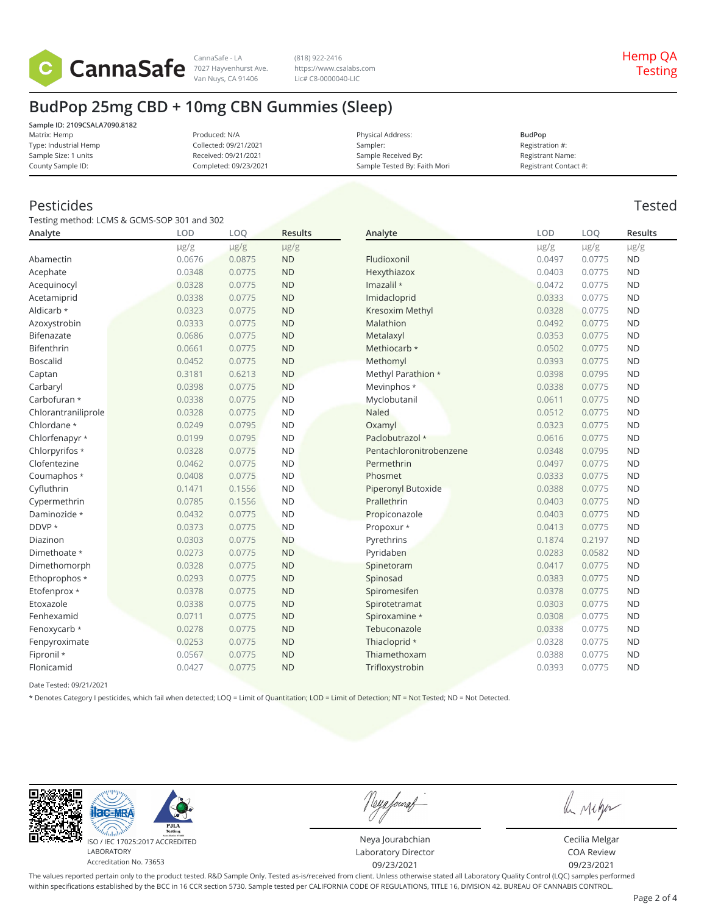

(818) 922-2416 https://www.csalabs.com Lic# C8-0000040-LIC

## **BudPop 25mg CBD + 10mg CBN Gummies (Sleep)**

**Sample ID: 2109CSALA7090.8182** Matrix: Hemp Type: Industrial Hemp Sample Size: 1 units County Sample ID: Produced: N/A Collected: 09/21/2021 Received: 09/21/2021 Completed: 09/23/2021 Physical Address: Sampler: Sample Received By: Sample Tested By: Faith Mori **BudPop** Registration #:<br>Registrant Name: Registrant Contact #:

### Pesticides Tested

Testing method: LCMS & GCMS-SOP 301 and 302

| Analyte             | LOD       | LOQ       | <b>Results</b> | Analyte                 | LOD       | LOQ       | Results   |
|---------------------|-----------|-----------|----------------|-------------------------|-----------|-----------|-----------|
|                     | $\mu$ g/g | $\mu$ g/g | $\mu$ g/g      |                         | $\mu$ g/g | $\mu$ g/g | $\mu$ g/g |
| Abamectin           | 0.0676    | 0.0875    | <b>ND</b>      | Fludioxonil             | 0.0497    | 0.0775    | <b>ND</b> |
| Acephate            | 0.0348    | 0.0775    | <b>ND</b>      | Hexythiazox             | 0.0403    | 0.0775    | <b>ND</b> |
| Acequinocyl         | 0.0328    | 0.0775    | <b>ND</b>      | Imazalil *              | 0.0472    | 0.0775    | <b>ND</b> |
| Acetamiprid         | 0.0338    | 0.0775    | <b>ND</b>      | Imidacloprid            | 0.0333    | 0.0775    | <b>ND</b> |
| Aldicarb *          | 0.0323    | 0.0775    | <b>ND</b>      | Kresoxim Methyl         | 0.0328    | 0.0775    | <b>ND</b> |
| Azoxystrobin        | 0.0333    | 0.0775    | <b>ND</b>      | Malathion               | 0.0492    | 0.0775    | <b>ND</b> |
| Bifenazate          | 0.0686    | 0.0775    | <b>ND</b>      | Metalaxyl               | 0.0353    | 0.0775    | <b>ND</b> |
| Bifenthrin          | 0.0661    | 0.0775    | <b>ND</b>      | Methiocarb *            | 0.0502    | 0.0775    | <b>ND</b> |
| <b>Boscalid</b>     | 0.0452    | 0.0775    | <b>ND</b>      | Methomyl                | 0.0393    | 0.0775    | <b>ND</b> |
| Captan              | 0.3181    | 0.6213    | <b>ND</b>      | Methyl Parathion *      | 0.0398    | 0.0795    | <b>ND</b> |
| Carbaryl            | 0.0398    | 0.0775    | <b>ND</b>      | Mevinphos *             | 0.0338    | 0.0775    | <b>ND</b> |
| Carbofuran *        | 0.0338    | 0.0775    | <b>ND</b>      | Myclobutanil            | 0.0611    | 0.0775    | <b>ND</b> |
| Chlorantraniliprole | 0.0328    | 0.0775    | <b>ND</b>      | <b>Naled</b>            | 0.0512    | 0.0775    | <b>ND</b> |
| Chlordane *         | 0.0249    | 0.0795    | <b>ND</b>      | Oxamyl                  | 0.0323    | 0.0775    | <b>ND</b> |
| Chlorfenapyr *      | 0.0199    | 0.0795    | <b>ND</b>      | Paclobutrazol *         | 0.0616    | 0.0775    | <b>ND</b> |
| Chlorpyrifos *      | 0.0328    | 0.0775    | <b>ND</b>      | Pentachloronitrobenzene | 0.0348    | 0.0795    | <b>ND</b> |
| Clofentezine        | 0.0462    | 0.0775    | <b>ND</b>      | Permethrin              | 0.0497    | 0.0775    | <b>ND</b> |
| Coumaphos *         | 0.0408    | 0.0775    | <b>ND</b>      | Phosmet                 | 0.0333    | 0.0775    | <b>ND</b> |
| Cyfluthrin          | 0.1471    | 0.1556    | <b>ND</b>      | Piperonyl Butoxide      | 0.0388    | 0.0775    | <b>ND</b> |
| Cypermethrin        | 0.0785    | 0.1556    | <b>ND</b>      | Prallethrin             | 0.0403    | 0.0775    | <b>ND</b> |
| Daminozide *        | 0.0432    | 0.0775    | <b>ND</b>      | Propiconazole           | 0.0403    | 0.0775    | <b>ND</b> |
| DDVP *              | 0.0373    | 0.0775    | <b>ND</b>      | Propoxur *              | 0.0413    | 0.0775    | <b>ND</b> |
| Diazinon            | 0.0303    | 0.0775    | <b>ND</b>      | Pyrethrins              | 0.1874    | 0.2197    | <b>ND</b> |
| Dimethoate *        | 0.0273    | 0.0775    | <b>ND</b>      | Pyridaben               | 0.0283    | 0.0582    | <b>ND</b> |
| Dimethomorph        | 0.0328    | 0.0775    | <b>ND</b>      | Spinetoram              | 0.0417    | 0.0775    | <b>ND</b> |
| Ethoprophos *       | 0.0293    | 0.0775    | <b>ND</b>      | Spinosad                | 0.0383    | 0.0775    | <b>ND</b> |
| Etofenprox *        | 0.0378    | 0.0775    | <b>ND</b>      | Spiromesifen            | 0.0378    | 0.0775    | <b>ND</b> |
| Etoxazole           | 0.0338    | 0.0775    | <b>ND</b>      | Spirotetramat           | 0.0303    | 0.0775    | <b>ND</b> |
| Fenhexamid          | 0.0711    | 0.0775    | <b>ND</b>      | Spiroxamine *           | 0.0308    | 0.0775    | <b>ND</b> |
| Fenoxycarb *        | 0.0278    | 0.0775    | <b>ND</b>      | Tebuconazole            | 0.0338    | 0.0775    | <b>ND</b> |
| Fenpyroximate       | 0.0253    | 0.0775    | <b>ND</b>      | Thiacloprid *           | 0.0328    | 0.0775    | <b>ND</b> |
| Fipronil *          | 0.0567    | 0.0775    | <b>ND</b>      | Thiamethoxam            | 0.0388    | 0.0775    | <b>ND</b> |
| Flonicamid          | 0.0427    | 0.0775    | <b>ND</b>      | Trifloxystrobin         | 0.0393    | 0.0775    | <b>ND</b> |

Date Tested: 09/21/2021

\* Denotes Category I pesticides, which fail when detected; LOQ = Limit of Quantitation; LOD = Limit of Detection; NT = Not Tested; ND = Not Detected.



Neyafouraf

le niger

Neya Jourabchian Laboratory Director 09/23/2021

Cecilia Melgar COA Review 09/23/2021

The values reported pertain only to the product tested. R&D Sample Only. Tested as-is/received from client. Unless otherwise stated all Laboratory Quality Control (LQC) samples performed within specifications established by the BCC in 16 CCR section 5730. Sample tested per CALIFORNIA CODE OF REGULATIONS, TITLE 16, DIVISION 42. BUREAU OF CANNABIS CONTROL.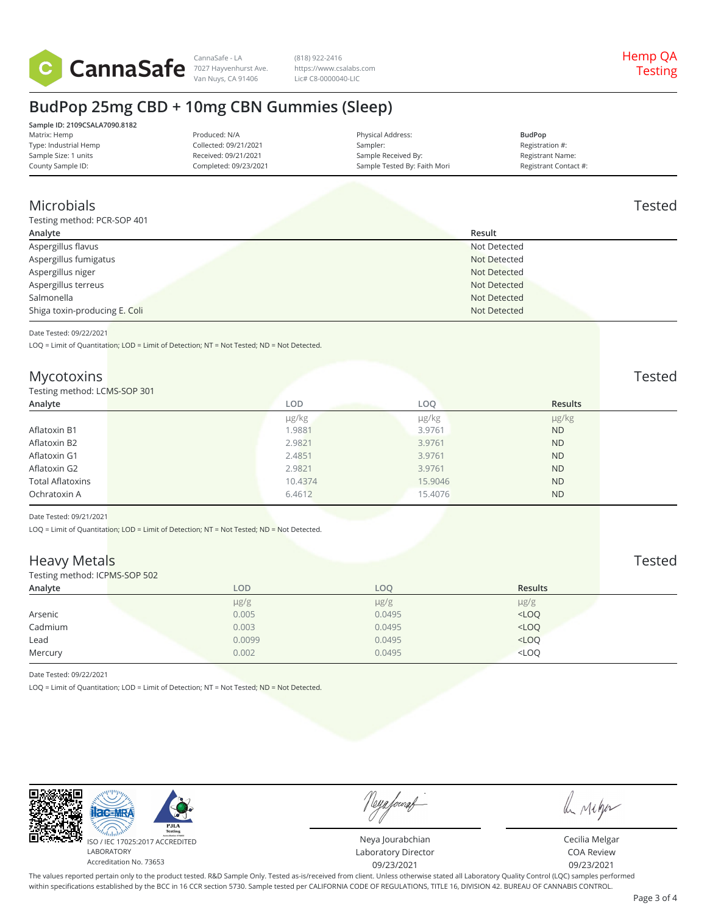

(818) 922-2416 https://www.csalabs.com Lic# C8-0000040-LIC

## **BudPop 25mg CBD + 10mg CBN Gummies (Sleep)**

| Sample ID: 2109CSALA7090.8182 |                       |                              |                       |  |
|-------------------------------|-----------------------|------------------------------|-----------------------|--|
| Matrix: Hemp                  | Produced: N/A         | Physical Address:            | <b>BudPop</b>         |  |
| Type: Industrial Hemp         | Collected: 09/21/2021 | Sampler:                     | Registration #:       |  |
| Sample Size: 1 units          | Received: 09/21/2021  | Sample Received By:          | Registrant Name:      |  |
| County Sample ID:             | Completed: 09/23/2021 | Sample Tested By: Faith Mori | Registrant Contact #: |  |
|                               |                       |                              |                       |  |

#### Microbials Tested

| Testing method: PCR-SOP 401   |                     |
|-------------------------------|---------------------|
| Analyte                       | Result              |
| Aspergillus flavus            | Not Detected        |
| Aspergillus fumigatus         | <b>Not Detected</b> |
| Aspergillus niger             | Not Detected        |
| Aspergillus terreus           | Not Detected        |
| Salmonella                    | Not Detected        |
| Shiga toxin-producing E. Coli | Not Detected        |

Date Tested: 09/22/2021

LOQ = Limit of Quantitation; LOD = Limit of Detection; NT = Not Tested; ND = Not Detected.

#### Mycotoxins Tested

#### Testing method: LCMS-SOP 301

| <b>Presentation Control Control Control</b> |  |         |         |                |  |
|---------------------------------------------|--|---------|---------|----------------|--|
| Analyte                                     |  | LOD.    | LOQ     | <b>Results</b> |  |
|                                             |  | µg/kg   | µg/kg   | $\mu$ g/kg     |  |
| Aflatoxin B1                                |  | 1.9881  | 3.9761  | <b>ND</b>      |  |
| Aflatoxin B2                                |  | 2.9821  | 3.9761  | <b>ND</b>      |  |
| Aflatoxin G1                                |  | 2.4851  | 3.9761  | <b>ND</b>      |  |
| Aflatoxin G2                                |  | 2.9821  | 3.9761  | <b>ND</b>      |  |
| <b>Total Aflatoxins</b>                     |  | 10.4374 | 15.9046 | <b>ND</b>      |  |
| Ochratoxin A                                |  | 6.4612  | 15,4076 | <b>ND</b>      |  |
|                                             |  |         |         |                |  |

Date Tested: 09/21/2021

LOQ = Limit of Quantitation; LOD = Limit of Detection; NT = Not Tested; ND = Not Detected.

| Heavy Metals                  |           |            |                |  |  |
|-------------------------------|-----------|------------|----------------|--|--|
| Testing method: ICPMS-SOP 502 |           |            |                |  |  |
| Analyte                       | LOD       | <b>LOO</b> | <b>Results</b> |  |  |
|                               | $\mu$ g/g | $\mu$ g/g  | $\mu$ g/g      |  |  |
| Arsenic                       | 0.005     | 0.0495     | $<$ LOQ        |  |  |
| Cadmium                       | 0.003     | 0.0495     | $<$ LOQ        |  |  |
| Lead                          | 0.0099    | 0.0495     | $<$ LOQ        |  |  |
| Mercury                       | 0.002     | 0.0495     | $<$ LOQ        |  |  |

Date Tested: 09/22/2021

LOQ = Limit of Quantitation; LOD = Limit of Detection; NT = Not Tested; ND = Not Detected.



Neya fouraf

Neya Jourabchian Laboratory Director

le niger

09/23/2021

Cecilia Melgar COA Review 09/23/2021

The values reported pertain only to the product tested. R&D Sample Only. Tested as-is/received from client. Unless otherwise stated all Laboratory Quality Control (LQC) samples performed within specifications established by the BCC in 16 CCR section 5730. Sample tested per CALIFORNIA CODE OF REGULATIONS, TITLE 16, DIVISION 42. BUREAU OF CANNABIS CONTROL.